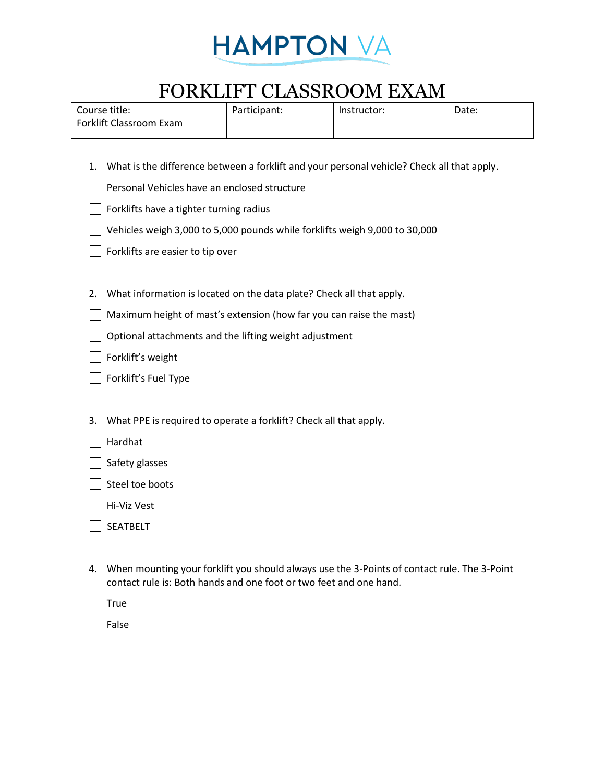

## FORKLIFT CLASSROOM EXAM

| Course title:           | Participant: | Instructor: | Date: |
|-------------------------|--------------|-------------|-------|
| Forklift Classroom Exam |              |             |       |

- 1. What is the difference between a forklift and your personal vehicle? Check all that apply.
- **Personal Vehicles have an enclosed structure**
- Forklifts have a tighter turning radius
- Vehicles weigh 3,000 to 5,000 pounds while forklifts weigh 9,000 to 30,000
- Forklifts are easier to tip over
- 2. What information is located on the data plate? Check all that apply.
- Maximum height of mast's extension (how far you can raise the mast)
- **Optional attachments and the lifting weight adjustment**
- **Solute** Forklift's weight
- **Forklift's Fuel Type**
- 3. What PPE is required to operate a forklift? Check all that apply.
- Hardhat
- $\Box$  Safety glasses
- $\Box$  Steel toe boots
- Hi-Viz Vest
- SEATBELT
- 4. When mounting your forklift you should always use the 3-Points of contact rule. The 3-Point contact rule is: Both hands and one foot or two feet and one hand.

 $\vert$  True

False